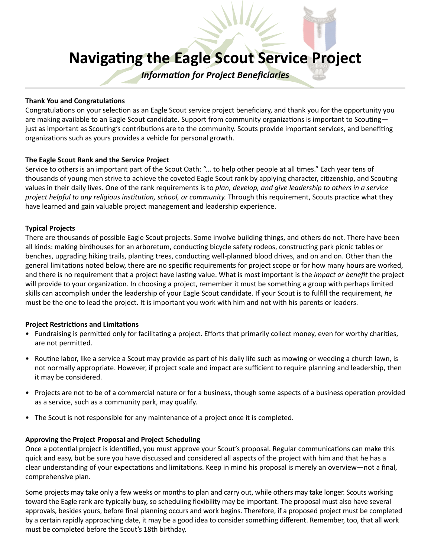# **Navigating the Eagle Scout Service Project**

*Information for Project Beneficiaries*

#### **Thank You and Congratulations**

Congratulations on your selection as an Eagle Scout service project beneficiary, and thank you for the opportunity you are making available to an Eagle Scout candidate. Support from community organizations is important to Scoutingjust as important as Scouting's contributions are to the community. Scouts provide important services, and benefiting organizations such as yours provides a vehicle for personal growth.

# **The Eagle Scout Rank and the Service Project**

Service to others is an important part of the Scout Oath: "... to help other people at all times." Each year tens of thousands of young men strive to achieve the coveted Eagle Scout rank by applying character, citizenship, and Scouting values in their daily lives. One of the rank requirements is to *plan, develop, and give leadership to others in a service project helpful to any religious institution, school, or community.* Through this requirement, Scouts practice what they have learned and gain valuable project management and leadership experience.

# **Typical Projects**

There are thousands of possible Eagle Scout projects. Some involve building things, and others do not. There have been all kinds: making birdhouses for an arboretum, conducting bicycle safety rodeos, constructing park picnic tables or benches, upgrading hiking trails, planting trees, conducting well-planned blood drives, and on and on. Other than the general limitations noted below, there are no specific requirements for project scope or for how many hours are worked, and there is no requirement that a project have lasting value. What is most important is the *impact or benefit* the project will provide to your organization. In choosing a project, remember it must be something a group with perhaps limited skills can accomplish under the leadership of your Eagle Scout candidate. If your Scout is to fulfill the requirement, *he* must be the one to lead the project. It is important you work with him and not with his parents or leaders.

#### **Project Restrictions and Limitations**

- Fundraising is permitted only for facilitating a project. Efforts that primarily collect money, even for worthy charities, are not permitted.
- Routine labor, like a service a Scout may provide as part of his daily life such as mowing or weeding a church lawn, is not normally appropriate. However, if project scale and impact are sufficient to require planning and leadership, then it may be considered.
- Projects are not to be of a commercial nature or for a business, though some aspects of a business operation provided as a service, such as a community park, may qualify.
- The Scout is not responsible for any maintenance of a project once it is completed.

# **Approving the Project Proposal and Project Scheduling**

Once a potential project is identified, you must approve your Scout's proposal. Regular communications can make this quick and easy, but be sure you have discussed and considered all aspects of the project with him and that he has a clear understanding of your expectations and limitations. Keep in mind his proposal is merely an overview—not a final, comprehensive plan.

Some projects may take only a few weeks or months to plan and carry out, while others may take longer. Scouts working toward the Eagle rank are typically busy, so scheduling flexibility may be important. The proposal must also have several approvals, besides yours, before final planning occurs and work begins. Therefore, if a proposed project must be completed by a certain rapidly approaching date, it may be a good idea to consider something different. Remember, too, that all work must be completed before the Scout's 18th birthday.